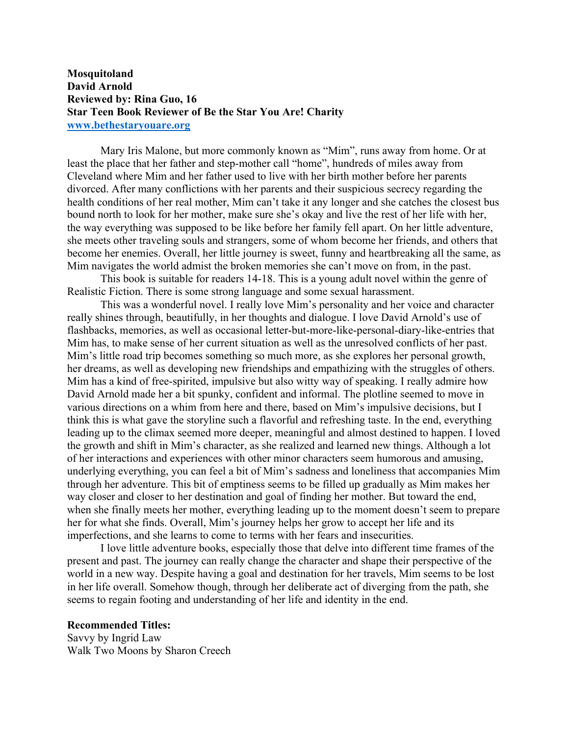## **Mosquitoland David Arnold Reviewed by: Rina Guo, 16 Star Teen Book Reviewer of Be the Star You Are! Charity www.bethestaryouare.org**

Mary Iris Malone, but more commonly known as "Mim", runs away from home. Or at least the place that her father and step-mother call "home", hundreds of miles away from Cleveland where Mim and her father used to live with her birth mother before her parents divorced. After many conflictions with her parents and their suspicious secrecy regarding the health conditions of her real mother, Mim can't take it any longer and she catches the closest bus bound north to look for her mother, make sure she's okay and live the rest of her life with her, the way everything was supposed to be like before her family fell apart. On her little adventure, she meets other traveling souls and strangers, some of whom become her friends, and others that become her enemies. Overall, her little journey is sweet, funny and heartbreaking all the same, as Mim navigates the world admist the broken memories she can't move on from, in the past.

This book is suitable for readers 14-18. This is a young adult novel within the genre of Realistic Fiction. There is some strong language and some sexual harassment.

This was a wonderful novel. I really love Mim's personality and her voice and character really shines through, beautifully, in her thoughts and dialogue. I love David Arnold's use of flashbacks, memories, as well as occasional letter-but-more-like-personal-diary-like-entries that Mim has, to make sense of her current situation as well as the unresolved conflicts of her past. Mim's little road trip becomes something so much more, as she explores her personal growth, her dreams, as well as developing new friendships and empathizing with the struggles of others. Mim has a kind of free-spirited, impulsive but also witty way of speaking. I really admire how David Arnold made her a bit spunky, confident and informal. The plotline seemed to move in various directions on a whim from here and there, based on Mim's impulsive decisions, but I think this is what gave the storyline such a flavorful and refreshing taste. In the end, everything leading up to the climax seemed more deeper, meaningful and almost destined to happen. I loved the growth and shift in Mim's character, as she realized and learned new things. Although a lot of her interactions and experiences with other minor characters seem humorous and amusing, underlying everything, you can feel a bit of Mim's sadness and loneliness that accompanies Mim through her adventure. This bit of emptiness seems to be filled up gradually as Mim makes her way closer and closer to her destination and goal of finding her mother. But toward the end, when she finally meets her mother, everything leading up to the moment doesn't seem to prepare her for what she finds. Overall, Mim's journey helps her grow to accept her life and its imperfections, and she learns to come to terms with her fears and insecurities.

I love little adventure books, especially those that delve into different time frames of the present and past. The journey can really change the character and shape their perspective of the world in a new way. Despite having a goal and destination for her travels, Mim seems to be lost in her life overall. Somehow though, through her deliberate act of diverging from the path, she seems to regain footing and understanding of her life and identity in the end.

## **Recommended Titles:**

Savvy by Ingrid Law Walk Two Moons by Sharon Creech